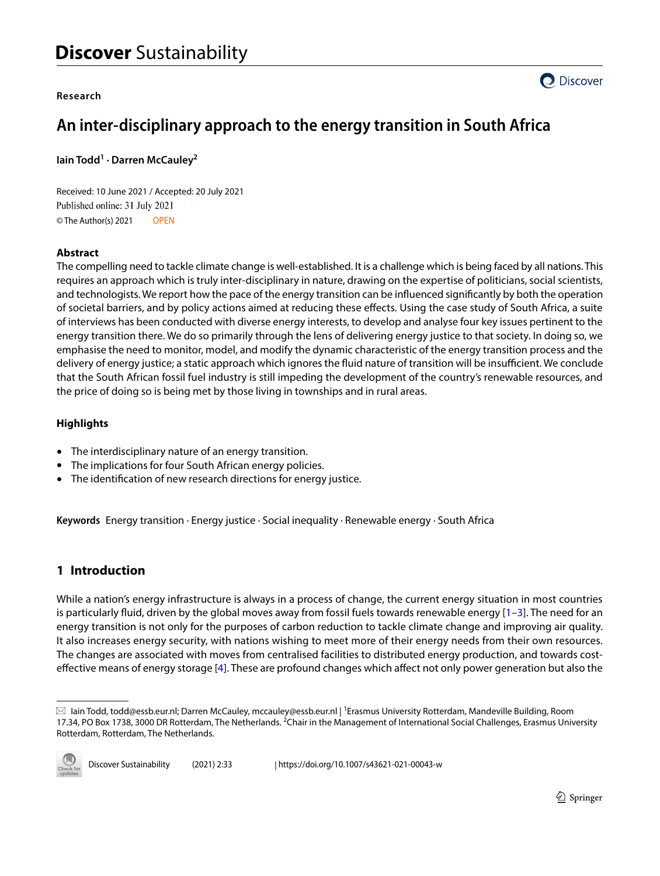#### **Research**



# **An inter‑disciplinary approach to the energy transition in South Africa**

```
Iain Todd1
· Darren McCauley2
```
Received: 10 June 2021 / Accepted: 20 July 2021 Published online: 31 July 2021 © The Author(s) 2021 OPEN

# **Abstract**

The compelling need to tackle climate change is well-established. It is a challenge which is being faced by all nations. This requires an approach which is truly inter-disciplinary in nature, drawing on the expertise of politicians, social scientists, and technologists. We report how the pace of the energy transition can be infuenced signifcantly by both the operation of societal barriers, and by policy actions aimed at reducing these efects. Using the case study of South Africa, a suite of interviews has been conducted with diverse energy interests, to develop and analyse four key issues pertinent to the energy transition there. We do so primarily through the lens of delivering energy justice to that society. In doing so, we emphasise the need to monitor, model, and modify the dynamic characteristic of the energy transition process and the delivery of energy justice; a static approach which ignores the fluid nature of transition will be insufficient. We conclude that the South African fossil fuel industry is still impeding the development of the country's renewable resources, and the price of doing so is being met by those living in townships and in rural areas.

# **Highlights**

- The interdisciplinary nature of an energy transition.
- The implications for four South African energy policies.
- The identifcation of new research directions for energy justice.

**Keywords** Energy transition · Energy justice · Social inequality · Renewable energy · South Africa

# **1 Introduction**

While a nation's energy infrastructure is always in a process of change, the current energy situation in most countries is particularly fluid, driven by the global moves away from fossil fuels towards renewable energy  $[1-3]$  $[1-3]$  $[1-3]$ . The need for an energy transition is not only for the purposes of carbon reduction to tackle climate change and improving air quality. It also increases energy security, with nations wishing to meet more of their energy needs from their own resources. The changes are associated with moves from centralised facilities to distributed energy production, and towards costefective means of energy storage [[4\]](#page-12-2). These are profound changes which afect not only power generation but also the

 $\boxtimes$  lain Todd, todd@essb.eur.nl; Darren McCauley, mccauley@essb.eur.nl | <sup>1</sup>Erasmus University Rotterdam, Mandeville Building, Room 17.34, PO Box 1738, 3000 DR Rotterdam, The Netherlands. <sup>2</sup>Chair in the Management of International Social Challenges, Erasmus University Rotterdam, Rotterdam, The Netherlands.

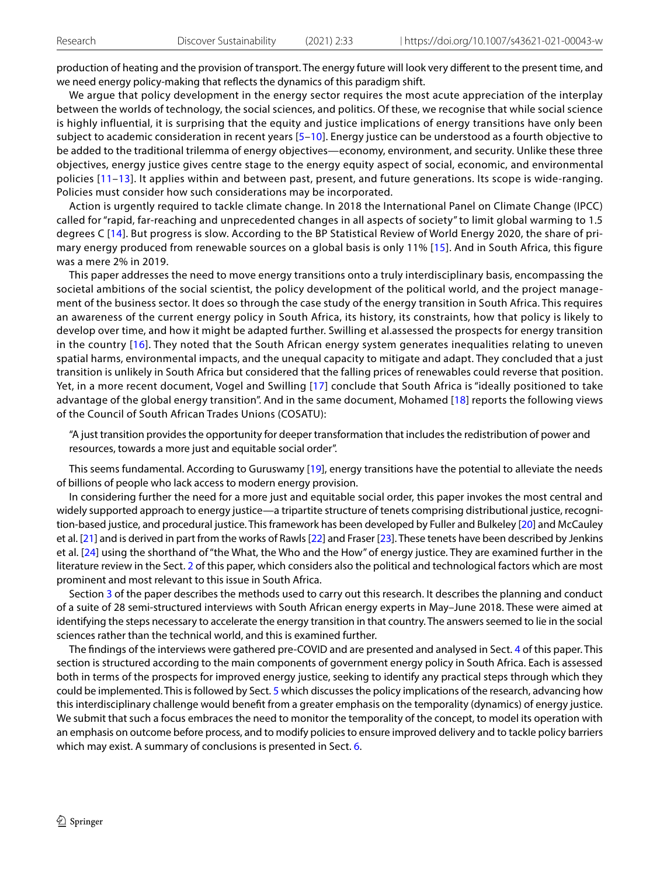production of heating and the provision of transport. The energy future will look very diferent to the present time, and we need energy policy-making that refects the dynamics of this paradigm shift.

We argue that policy development in the energy sector requires the most acute appreciation of the interplay between the worlds of technology, the social sciences, and politics. Of these, we recognise that while social science is highly influential, it is surprising that the equity and justice implications of energy transitions have only been subject to academic consideration in recent years [[5](#page-12-3)[–10\]](#page-12-4). Energy justice can be understood as a fourth objective to be added to the traditional trilemma of energy objectives—economy, environment, and security. Unlike these three objectives, energy justice gives centre stage to the energy equity aspect of social, economic, and environmental policies [[11–](#page-12-5)[13\]](#page-13-0). It applies within and between past, present, and future generations. Its scope is wide-ranging. Policies must consider how such considerations may be incorporated.

Action is urgently required to tackle climate change. In 2018 the International Panel on Climate Change (IPCC) called for "rapid, far-reaching and unprecedented changes in all aspects of society" to limit global warming to 1.5 degrees C [[14\]](#page-13-1). But progress is slow. According to the BP Statistical Review of World Energy 2020, the share of primary energy produced from renewable sources on a global basis is only 11% [[15\]](#page-13-2). And in South Africa, this figure was a mere 2% in 2019.

This paper addresses the need to move energy transitions onto a truly interdisciplinary basis, encompassing the societal ambitions of the social scientist, the policy development of the political world, and the project management of the business sector. It does so through the case study of the energy transition in South Africa. This requires an awareness of the current energy policy in South Africa, its history, its constraints, how that policy is likely to develop over time, and how it might be adapted further. Swilling et al.assessed the prospects for energy transition in the country [[16\]](#page-13-3). They noted that the South African energy system generates inequalities relating to uneven spatial harms, environmental impacts, and the unequal capacity to mitigate and adapt. They concluded that a just transition is unlikely in South Africa but considered that the falling prices of renewables could reverse that position. Yet, in a more recent document, Vogel and Swilling [\[17](#page-13-4)] conclude that South Africa is "ideally positioned to take advantage of the global energy transition". And in the same document, Mohamed [[18\]](#page-13-5) reports the following views of the Council of South African Trades Unions (COSATU):

"A just transition provides the opportunity for deeper transformation that includes the redistribution of power and resources, towards a more just and equitable social order".

This seems fundamental. According to Guruswamy [[19](#page-13-6)], energy transitions have the potential to alleviate the needs of billions of people who lack access to modern energy provision.

In considering further the need for a more just and equitable social order, this paper invokes the most central and widely supported approach to energy justice—a tripartite structure of tenets comprising distributional justice, recognition-based justice, and procedural justice. This framework has been developed by Fuller and Bulkeley [[20\]](#page-13-7) and McCauley et al. [\[21](#page-13-8)] and is derived in part from the works of Rawls [[22](#page-13-9)] and Fraser [\[23](#page-13-10)]. These tenets have been described by Jenkins et al. [\[24\]](#page-13-11) using the shorthand of "the What, the Who and the How" of energy justice. They are examined further in the literature review in the Sect. [2](#page-2-0) of this paper, which considers also the political and technological factors which are most prominent and most relevant to this issue in South Africa.

Section [3](#page-4-0) of the paper describes the methods used to carry out this research. It describes the planning and conduct of a suite of 28 semi-structured interviews with South African energy experts in May–June 2018. These were aimed at identifying the steps necessary to accelerate the energy transition in that country. The answers seemed to lie in the social sciences rather than the technical world, and this is examined further.

The fndings of the interviews were gathered pre-COVID and are presented and analysed in Sect. [4](#page-5-0) of this paper. This section is structured according to the main components of government energy policy in South Africa. Each is assessed both in terms of the prospects for improved energy justice, seeking to identify any practical steps through which they could be implemented. This is followed by Sect. [5](#page-8-0) which discusses the policy implications of the research, advancing how this interdisciplinary challenge would beneft from a greater emphasis on the temporality (dynamics) of energy justice. We submit that such a focus embraces the need to monitor the temporality of the concept, to model its operation with an emphasis on outcome before process, and to modify policies to ensure improved delivery and to tackle policy barriers which may exist. A summary of conclusions is presented in Sect. [6.](#page-10-0)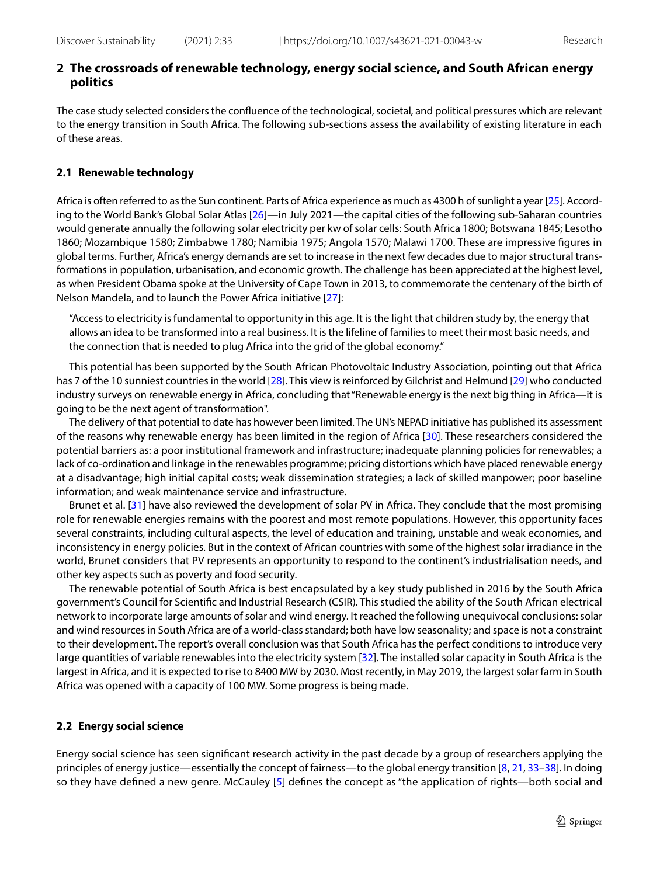# <span id="page-2-0"></span>**2 The crossroads of renewable technology, energy social science, and South African energy politics**

The case study selected considers the confuence of the technological, societal, and political pressures which are relevant to the energy transition in South Africa. The following sub-sections assess the availability of existing literature in each of these areas.

#### **2.1 Renewable technology**

Africa is often referred to as the Sun continent. Parts of Africa experience as much as 4300 h of sunlight a year [[25](#page-13-12)]. Accord-ing to the World Bank's Global Solar Atlas [[26](#page-13-13)]—in July 2021—the capital cities of the following sub-Saharan countries would generate annually the following solar electricity per kw of solar cells: South Africa 1800; Botswana 1845; Lesotho 1860; Mozambique 1580; Zimbabwe 1780; Namibia 1975; Angola 1570; Malawi 1700. These are impressive fgures in global terms. Further, Africa's energy demands are set to increase in the next few decades due to major structural transformations in population, urbanisation, and economic growth. The challenge has been appreciated at the highest level, as when President Obama spoke at the University of Cape Town in 2013, to commemorate the centenary of the birth of Nelson Mandela, and to launch the Power Africa initiative [[27\]](#page-13-14):

"Access to electricity is fundamental to opportunity in this age. It is the light that children study by, the energy that allows an idea to be transformed into a real business. It is the lifeline of families to meet their most basic needs, and the connection that is needed to plug Africa into the grid of the global economy."

This potential has been supported by the South African Photovoltaic Industry Association, pointing out that Africa has 7 of the 10 sunniest countries in the world [\[28\]](#page-13-15). This view is reinforced by Gilchrist and Helmund [\[29](#page-13-16)] who conducted industry surveys on renewable energy in Africa, concluding that "Renewable energy is the next big thing in Africa—it is going to be the next agent of transformation".

The delivery of that potential to date has however been limited. The UN's NEPAD initiative has published its assessment of the reasons why renewable energy has been limited in the region of Africa [\[30\]](#page-13-17). These researchers considered the potential barriers as: a poor institutional framework and infrastructure; inadequate planning policies for renewables; a lack of co-ordination and linkage in the renewables programme; pricing distortions which have placed renewable energy at a disadvantage; high initial capital costs; weak dissemination strategies; a lack of skilled manpower; poor baseline information; and weak maintenance service and infrastructure.

Brunet et al. [\[31\]](#page-13-18) have also reviewed the development of solar PV in Africa. They conclude that the most promising role for renewable energies remains with the poorest and most remote populations. However, this opportunity faces several constraints, including cultural aspects, the level of education and training, unstable and weak economies, and inconsistency in energy policies. But in the context of African countries with some of the highest solar irradiance in the world, Brunet considers that PV represents an opportunity to respond to the continent's industrialisation needs, and other key aspects such as poverty and food security.

The renewable potential of South Africa is best encapsulated by a key study published in 2016 by the South Africa government's Council for Scientifc and Industrial Research (CSIR). This studied the ability of the South African electrical network to incorporate large amounts of solar and wind energy. It reached the following unequivocal conclusions: solar and wind resources in South Africa are of a world-class standard; both have low seasonality; and space is not a constraint to their development. The report's overall conclusion was that South Africa has the perfect conditions to introduce very large quantities of variable renewables into the electricity system [[32](#page-13-19)]. The installed solar capacity in South Africa is the largest in Africa, and it is expected to rise to 8400 MW by 2030. Most recently, in May 2019, the largest solar farm in South Africa was opened with a capacity of 100 MW. Some progress is being made.

#### **2.2 Energy social science**

Energy social science has seen signifcant research activity in the past decade by a group of researchers applying the principles of energy justice—essentially the concept of fairness—to the global energy transition [[8](#page-12-6), [21](#page-13-8), [33–](#page-13-20)[38](#page-13-21)]. In doing so they have defned a new genre. McCauley [\[5\]](#page-12-3) defnes the concept as "the application of rights—both social and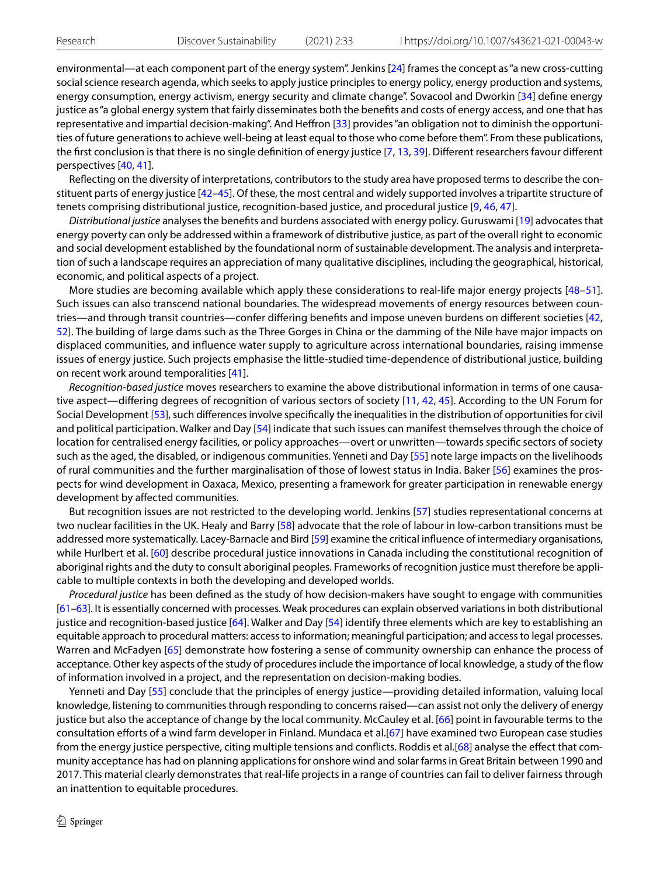environmental—at each component part of the energy system". Jenkins [[24](#page-13-11)] frames the concept as "a new cross-cutting social science research agenda, which seeks to apply justice principles to energy policy, energy production and systems, energy consumption, energy activism, energy security and climate change". Sovacool and Dworkin [\[34\]](#page-13-22) defne energy justice as "a global energy system that fairly disseminates both the benefts and costs of energy access, and one that has representative and impartial decision-making". And Hefron [\[33\]](#page-13-20) provides "an obligation not to diminish the opportunities of future generations to achieve well-being at least equal to those who come before them". From these publications, the first conclusion is that there is no single definition of energy justice [\[7,](#page-12-7) [13](#page-13-0), [39\]](#page-13-23). Different researchers favour different perspectives [[40](#page-13-24), [41\]](#page-13-25).

Refecting on the diversity of interpretations, contributors to the study area have proposed terms to describe the constituent parts of energy justice [\[42–](#page-13-26)[45\]](#page-13-27). Of these, the most central and widely supported involves a tripartite structure of tenets comprising distributional justice, recognition-based justice, and procedural justice [[9,](#page-12-8) [46](#page-13-28), [47\]](#page-13-29).

*Distributional justice* analyses the benefts and burdens associated with energy policy. Guruswami [\[19](#page-13-6)] advocates that energy poverty can only be addressed within a framework of distributive justice, as part of the overall right to economic and social development established by the foundational norm of sustainable development. The analysis and interpretation of such a landscape requires an appreciation of many qualitative disciplines, including the geographical, historical, economic, and political aspects of a project.

More studies are becoming available which apply these considerations to real-life major energy projects [[48–](#page-13-30)[51](#page-13-31)]. Such issues can also transcend national boundaries. The widespread movements of energy resources between countries—and through transit countries—confer difering benefts and impose uneven burdens on diferent societies [[42,](#page-13-26) [52](#page-13-32)]. The building of large dams such as the Three Gorges in China or the damming of the Nile have major impacts on displaced communities, and infuence water supply to agriculture across international boundaries, raising immense issues of energy justice. Such projects emphasise the little-studied time-dependence of distributional justice, building on recent work around temporalities [[41](#page-13-25)].

*Recognition-based justice* moves researchers to examine the above distributional information in terms of one causative aspect—difering degrees of recognition of various sectors of society [[11,](#page-12-5) [42](#page-13-26), [45](#page-13-27)]. According to the UN Forum for Social Development [\[53](#page-13-33)], such diferences involve specifcally the inequalities in the distribution of opportunities for civil and political participation. Walker and Day [[54\]](#page-13-34) indicate that such issues can manifest themselves through the choice of location for centralised energy facilities, or policy approaches—overt or unwritten—towards specifc sectors of society such as the aged, the disabled, or indigenous communities. Yenneti and Day [[55\]](#page-13-35) note large impacts on the livelihoods of rural communities and the further marginalisation of those of lowest status in India. Baker [[56](#page-14-0)] examines the prospects for wind development in Oaxaca, Mexico, presenting a framework for greater participation in renewable energy development by afected communities.

But recognition issues are not restricted to the developing world. Jenkins [[57](#page-14-1)] studies representational concerns at two nuclear facilities in the UK. Healy and Barry [\[58\]](#page-14-2) advocate that the role of labour in low-carbon transitions must be addressed more systematically. Lacey-Barnacle and Bird [[59\]](#page-14-3) examine the critical infuence of intermediary organisations, while Hurlbert et al. [[60](#page-14-4)] describe procedural justice innovations in Canada including the constitutional recognition of aboriginal rights and the duty to consult aboriginal peoples. Frameworks of recognition justice must therefore be applicable to multiple contexts in both the developing and developed worlds.

*Procedural justice* has been defned as the study of how decision-makers have sought to engage with communities [[61–](#page-14-5)[63](#page-14-6)]. It is essentially concerned with processes. Weak procedures can explain observed variations in both distributional justice and recognition-based justice [[64\]](#page-14-7). Walker and Day [\[54\]](#page-13-34) identify three elements which are key to establishing an equitable approach to procedural matters: access to information; meaningful participation; and access to legal processes. Warren and McFadyen [\[65\]](#page-14-8) demonstrate how fostering a sense of community ownership can enhance the process of acceptance. Other key aspects of the study of procedures include the importance of local knowledge, a study of the fow of information involved in a project, and the representation on decision-making bodies.

Yenneti and Day [\[55](#page-13-35)] conclude that the principles of energy justice—providing detailed information, valuing local knowledge, listening to communities through responding to concerns raised—can assist not only the delivery of energy justice but also the acceptance of change by the local community. McCauley et al. [\[66\]](#page-14-9) point in favourable terms to the consultation eforts of a wind farm developer in Finland. Mundaca et al.[\[67\]](#page-14-10) have examined two European case studies from the energy justice perspective, citing multiple tensions and conficts. Roddis et al.[\[68\]](#page-14-11) analyse the efect that community acceptance has had on planning applications for onshore wind and solar farms in Great Britain between 1990 and 2017. This material clearly demonstrates that real-life projects in a range of countries can fail to deliver fairness through an inattention to equitable procedures.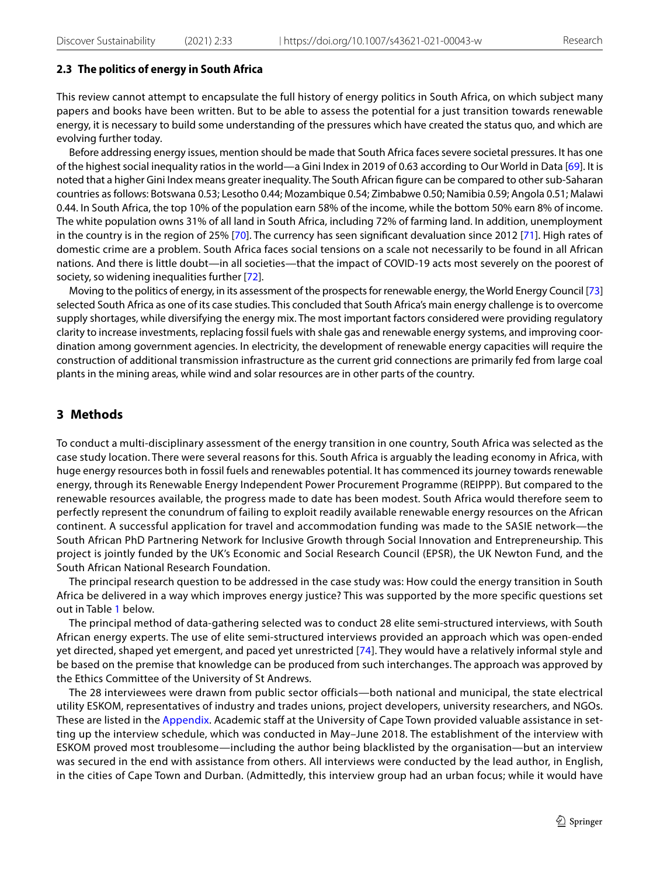#### **2.3 The politics of energy in South Africa**

This review cannot attempt to encapsulate the full history of energy politics in South Africa, on which subject many papers and books have been written. But to be able to assess the potential for a just transition towards renewable energy, it is necessary to build some understanding of the pressures which have created the status quo, and which are evolving further today.

Before addressing energy issues, mention should be made that South Africa faces severe societal pressures. It has one of the highest social inequality ratios in the world—a Gini Index in 2019 of 0.63 according to Our World in Data [[69](#page-14-12)]. It is noted that a higher Gini Index means greater inequality. The South African fgure can be compared to other sub-Saharan countries as follows: Botswana 0.53; Lesotho 0.44; Mozambique 0.54; Zimbabwe 0.50; Namibia 0.59; Angola 0.51; Malawi 0.44. In South Africa, the top 10% of the population earn 58% of the income, while the bottom 50% earn 8% of income. The white population owns 31% of all land in South Africa, including 72% of farming land. In addition, unemployment in the country is in the region of 25% [[70](#page-14-13)]. The currency has seen signifcant devaluation since 2012 [[71\]](#page-14-14). High rates of domestic crime are a problem. South Africa faces social tensions on a scale not necessarily to be found in all African nations. And there is little doubt—in all societies—that the impact of COVID-19 acts most severely on the poorest of society, so widening inequalities further [[72](#page-14-15)].

Moving to the politics of energy, in its assessment of the prospects for renewable energy, the World Energy Council [\[73](#page-14-16)] selected South Africa as one of its case studies. This concluded that South Africa's main energy challenge is to overcome supply shortages, while diversifying the energy mix. The most important factors considered were providing regulatory clarity to increase investments, replacing fossil fuels with shale gas and renewable energy systems, and improving coordination among government agencies. In electricity, the development of renewable energy capacities will require the construction of additional transmission infrastructure as the current grid connections are primarily fed from large coal plants in the mining areas, while wind and solar resources are in other parts of the country.

# <span id="page-4-0"></span>**3 Methods**

To conduct a multi-disciplinary assessment of the energy transition in one country, South Africa was selected as the case study location. There were several reasons for this. South Africa is arguably the leading economy in Africa, with huge energy resources both in fossil fuels and renewables potential. It has commenced its journey towards renewable energy, through its Renewable Energy Independent Power Procurement Programme (REIPPP). But compared to the renewable resources available, the progress made to date has been modest. South Africa would therefore seem to perfectly represent the conundrum of failing to exploit readily available renewable energy resources on the African continent. A successful application for travel and accommodation funding was made to the SASIE network—the South African PhD Partnering Network for Inclusive Growth through Social Innovation and Entrepreneurship. This project is jointly funded by the UK's Economic and Social Research Council (EPSR), the UK Newton Fund, and the South African National Research Foundation.

The principal research question to be addressed in the case study was: How could the energy transition in South Africa be delivered in a way which improves energy justice? This was supported by the more specific questions set out in Table [1](#page-5-1) below.

The principal method of data-gathering selected was to conduct 28 elite semi-structured interviews, with South African energy experts. The use of elite semi-structured interviews provided an approach which was open-ended yet directed, shaped yet emergent, and paced yet unrestricted [[74](#page-14-17)]. They would have a relatively informal style and be based on the premise that knowledge can be produced from such interchanges. The approach was approved by the Ethics Committee of the University of St Andrews.

The 28 interviewees were drawn from public sector officials—both national and municipal, the state electrical utility ESKOM, representatives of industry and trades unions, project developers, university researchers, and NGOs. These are listed in the [Appendix.](#page-11-0) Academic staff at the University of Cape Town provided valuable assistance in setting up the interview schedule, which was conducted in May–June 2018. The establishment of the interview with ESKOM proved most troublesome—including the author being blacklisted by the organisation—but an interview was secured in the end with assistance from others. All interviews were conducted by the lead author, in English, in the cities of Cape Town and Durban. (Admittedly, this interview group had an urban focus; while it would have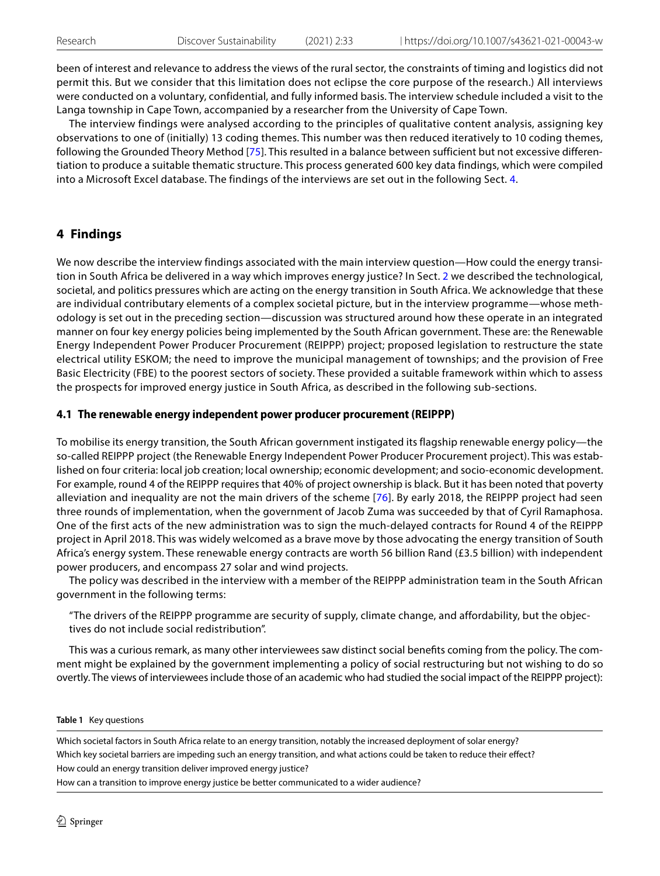been of interest and relevance to address the views of the rural sector, the constraints of timing and logistics did not permit this. But we consider that this limitation does not eclipse the core purpose of the research.) All interviews were conducted on a voluntary, confidential, and fully informed basis. The interview schedule included a visit to the Langa township in Cape Town, accompanied by a researcher from the University of Cape Town.

The interview findings were analysed according to the principles of qualitative content analysis, assigning key observations to one of (initially) 13 coding themes. This number was then reduced iteratively to 10 coding themes, following the Grounded Theory Method [[75\]](#page-14-18). This resulted in a balance between sufficient but not excessive differentiation to produce a suitable thematic structure. This process generated 600 key data findings, which were compiled into a Microsoft Excel database. The findings of the interviews are set out in the following Sect. [4](#page-5-0).

# <span id="page-5-0"></span>**4 Findings**

We now describe the interview findings associated with the main interview question—How could the energy transition in South Africa be delivered in a way which improves energy justice? In Sect. [2](#page-2-0) we described the technological, societal, and politics pressures which are acting on the energy transition in South Africa. We acknowledge that these are individual contributary elements of a complex societal picture, but in the interview programme—whose methodology is set out in the preceding section—discussion was structured around how these operate in an integrated manner on four key energy policies being implemented by the South African government. These are: the Renewable Energy Independent Power Producer Procurement (REIPPP) project; proposed legislation to restructure the state electrical utility ESKOM; the need to improve the municipal management of townships; and the provision of Free Basic Electricity (FBE) to the poorest sectors of society. These provided a suitable framework within which to assess the prospects for improved energy justice in South Africa, as described in the following sub-sections.

# **4.1 The renewable energy independent power producer procurement (REIPPP)**

To mobilise its energy transition, the South African government instigated its flagship renewable energy policy—the so-called REIPPP project (the Renewable Energy Independent Power Producer Procurement project). This was established on four criteria: local job creation; local ownership; economic development; and socio-economic development. For example, round 4 of the REIPPP requires that 40% of project ownership is black. But it has been noted that poverty alleviation and inequality are not the main drivers of the scheme [[76\]](#page-14-19). By early 2018, the REIPPP project had seen three rounds of implementation, when the government of Jacob Zuma was succeeded by that of Cyril Ramaphosa. One of the first acts of the new administration was to sign the much-delayed contracts for Round 4 of the REIPPP project in April 2018. This was widely welcomed as a brave move by those advocating the energy transition of South Africa's energy system. These renewable energy contracts are worth 56 billion Rand (£3.5 billion) with independent power producers, and encompass 27 solar and wind projects.

The policy was described in the interview with a member of the REIPPP administration team in the South African government in the following terms:

"The drivers of the REIPPP programme are security of supply, climate change, and affordability, but the objectives do not include social redistribution".

This was a curious remark, as many other interviewees saw distinct social benefts coming from the policy. The comment might be explained by the government implementing a policy of social restructuring but not wishing to do so overtly. The views of interviewees include those of an academic who had studied the social impact of the REIPPP project):

#### <span id="page-5-1"></span>**Table 1** Key questions

Which societal factors in South Africa relate to an energy transition, notably the increased deployment of solar energy? Which key societal barriers are impeding such an energy transition, and what actions could be taken to reduce their efect? How could an energy transition deliver improved energy justice? How can a transition to improve energy justice be better communicated to a wider audience?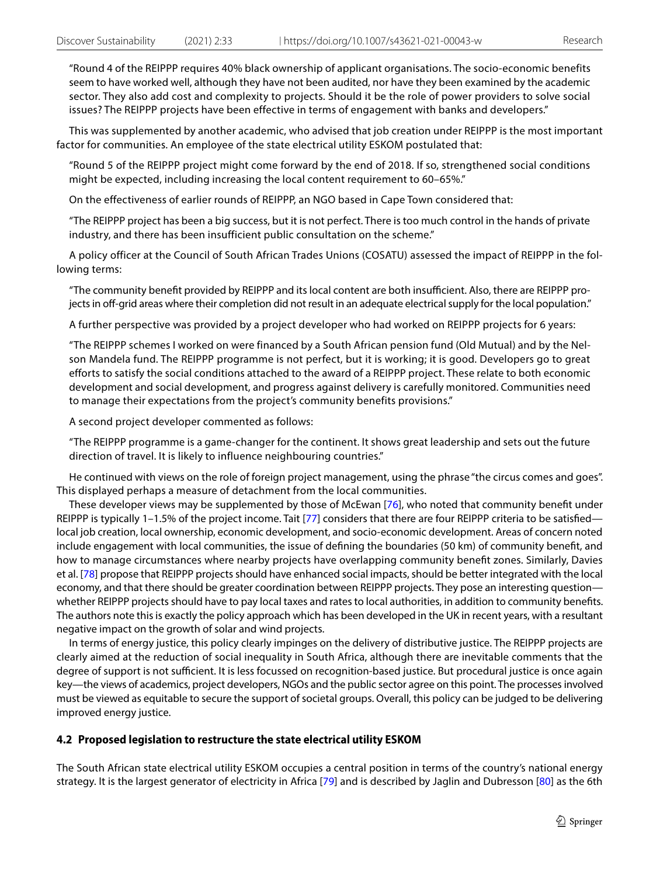"Round 4 of the REIPPP requires 40% black ownership of applicant organisations. The socio-economic benefits seem to have worked well, although they have not been audited, nor have they been examined by the academic sector. They also add cost and complexity to projects. Should it be the role of power providers to solve social issues? The REIPPP projects have been effective in terms of engagement with banks and developers."

This was supplemented by another academic, who advised that job creation under REIPPP is the most important factor for communities. An employee of the state electrical utility ESKOM postulated that:

"Round 5 of the REIPPP project might come forward by the end of 2018. If so, strengthened social conditions might be expected, including increasing the local content requirement to 60–65%."

On the effectiveness of earlier rounds of REIPPP, an NGO based in Cape Town considered that:

"The REIPPP project has been a big success, but it is not perfect. There is too much control in the hands of private industry, and there has been insufficient public consultation on the scheme."

A policy officer at the Council of South African Trades Unions (COSATU) assessed the impact of REIPPP in the following terms:

"The community benefit provided by REIPPP and its local content are both insufficient. Also, there are REIPPP projects in off-grid areas where their completion did not result in an adequate electrical supply for the local population."

A further perspective was provided by a project developer who had worked on REIPPP projects for 6 years:

"The REIPPP schemes I worked on were financed by a South African pension fund (Old Mutual) and by the Nelson Mandela fund. The REIPPP programme is not perfect, but it is working; it is good. Developers go to great efforts to satisfy the social conditions attached to the award of a REIPPP project. These relate to both economic development and social development, and progress against delivery is carefully monitored. Communities need to manage their expectations from the project's community benefits provisions."

A second project developer commented as follows:

"The REIPPP programme is a game-changer for the continent. It shows great leadership and sets out the future direction of travel. It is likely to influence neighbouring countries."

He continued with views on the role of foreign project management, using the phrase "the circus comes and goes". This displayed perhaps a measure of detachment from the local communities.

These developer views may be supplemented by those of McEwan [\[76\]](#page-14-19), who noted that community beneft under REIPPP is typically 1-1.5% of the project income. Tait [\[77](#page-14-20)] considers that there are four REIPPP criteria to be satisfied local job creation, local ownership, economic development, and socio-economic development. Areas of concern noted include engagement with local communities, the issue of defning the boundaries (50 km) of community beneft, and how to manage circumstances where nearby projects have overlapping community beneft zones. Similarly, Davies et al. [\[78\]](#page-14-21) propose that REIPPP projects should have enhanced social impacts, should be better integrated with the local economy, and that there should be greater coordination between REIPPP projects. They pose an interesting question whether REIPPP projects should have to pay local taxes and rates to local authorities, in addition to community benefts. The authors note this is exactly the policy approach which has been developed in the UK in recent years, with a resultant negative impact on the growth of solar and wind projects.

In terms of energy justice, this policy clearly impinges on the delivery of distributive justice. The REIPPP projects are clearly aimed at the reduction of social inequality in South Africa, although there are inevitable comments that the degree of support is not sufficient. It is less focussed on recognition-based justice. But procedural justice is once again key—the views of academics, project developers, NGOs and the public sector agree on this point. The processes involved must be viewed as equitable to secure the support of societal groups. Overall, this policy can be judged to be delivering improved energy justice.

#### **4.2 Proposed legislation to restructure the state electrical utility ESKOM**

The South African state electrical utility ESKOM occupies a central position in terms of the country's national energy strategy. It is the largest generator of electricity in Africa [[79\]](#page-14-22) and is described by Jaglin and Dubresson [[80](#page-14-23)] as the 6th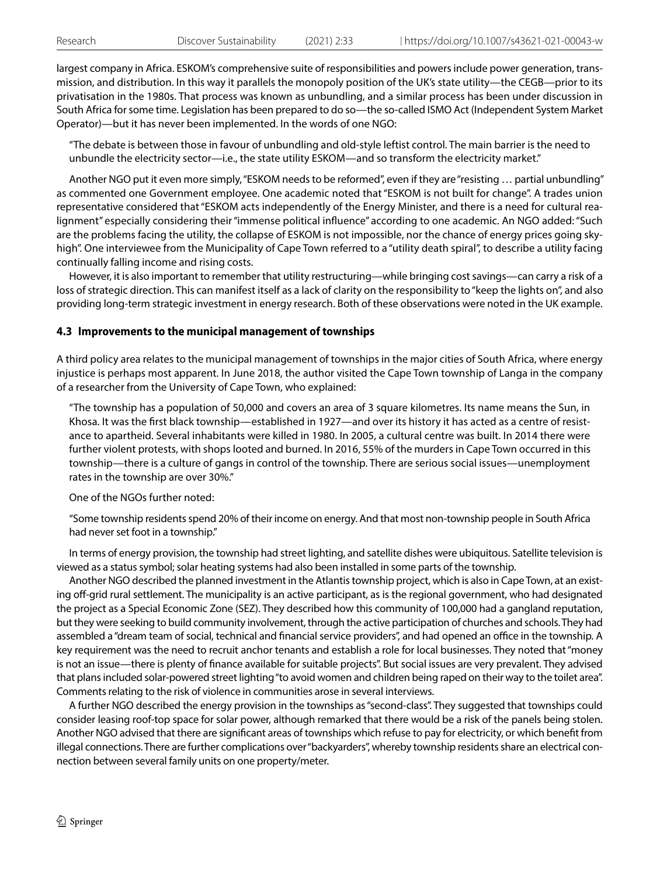largest company in Africa. ESKOM's comprehensive suite of responsibilities and powers include power generation, transmission, and distribution. In this way it parallels the monopoly position of the UK's state utility—the CEGB—prior to its privatisation in the 1980s. That process was known as unbundling, and a similar process has been under discussion in South Africa for some time. Legislation has been prepared to do so—the so-called ISMO Act (Independent System Market Operator)—but it has never been implemented. In the words of one NGO:

"The debate is between those in favour of unbundling and old-style leftist control. The main barrier is the need to unbundle the electricity sector—i.e., the state utility ESKOM—and so transform the electricity market."

Another NGO put it even more simply, "ESKOM needs to be reformed", even if they are "resisting … partial unbundling" as commented one Government employee. One academic noted that "ESKOM is not built for change". A trades union representative considered that "ESKOM acts independently of the Energy Minister, and there is a need for cultural realignment" especially considering their "immense political infuence" according to one academic. An NGO added: "Such are the problems facing the utility, the collapse of ESKOM is not impossible, nor the chance of energy prices going skyhigh". One interviewee from the Municipality of Cape Town referred to a "utility death spiral", to describe a utility facing continually falling income and rising costs.

However, it is also important to remember that utility restructuring—while bringing cost savings—can carry a risk of a loss of strategic direction. This can manifest itself as a lack of clarity on the responsibility to "keep the lights on", and also providing long-term strategic investment in energy research. Both of these observations were noted in the UK example.

## **4.3 Improvements to the municipal management of townships**

A third policy area relates to the municipal management of townships in the major cities of South Africa, where energy injustice is perhaps most apparent. In June 2018, the author visited the Cape Town township of Langa in the company of a researcher from the University of Cape Town, who explained:

"The township has a population of 50,000 and covers an area of 3 square kilometres. Its name means the Sun, in Khosa. It was the frst black township—established in 1927—and over its history it has acted as a centre of resistance to apartheid. Several inhabitants were killed in 1980. In 2005, a cultural centre was built. In 2014 there were further violent protests, with shops looted and burned. In 2016, 55% of the murders in Cape Town occurred in this township—there is a culture of gangs in control of the township. There are serious social issues—unemployment rates in the township are over 30%."

#### One of the NGOs further noted:

"Some township residents spend 20% of their income on energy. And that most non-township people in South Africa had never set foot in a township."

In terms of energy provision, the township had street lighting, and satellite dishes were ubiquitous. Satellite television is viewed as a status symbol; solar heating systems had also been installed in some parts of the township.

Another NGO described the planned investment in the Atlantis township project, which is also in Cape Town, at an existing off-grid rural settlement. The municipality is an active participant, as is the regional government, who had designated the project as a Special Economic Zone (SEZ). They described how this community of 100,000 had a gangland reputation, but they were seeking to build community involvement, through the active participation of churches and schools. They had assembled a "dream team of social, technical and financial service providers", and had opened an office in the township. A key requirement was the need to recruit anchor tenants and establish a role for local businesses. They noted that "money is not an issue—there is plenty of fnance available for suitable projects". But social issues are very prevalent. They advised that plans included solar-powered street lighting "to avoid women and children being raped on their way to the toilet area". Comments relating to the risk of violence in communities arose in several interviews.

A further NGO described the energy provision in the townships as "second-class". They suggested that townships could consider leasing roof-top space for solar power, although remarked that there would be a risk of the panels being stolen. Another NGO advised that there are signifcant areas of townships which refuse to pay for electricity, or which beneft from illegal connections. There are further complications over "backyarders", whereby township residents share an electrical connection between several family units on one property/meter.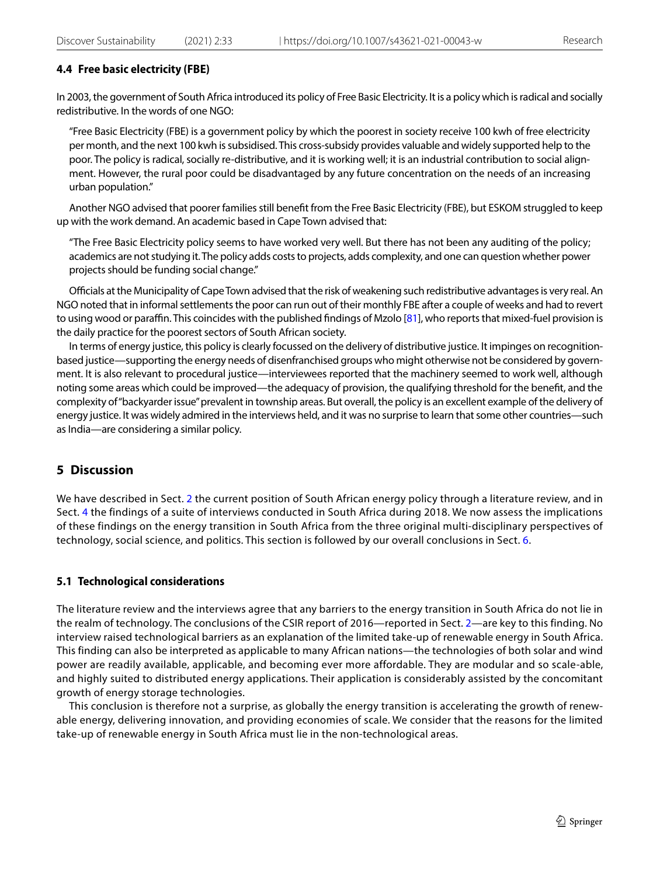## **4.4 Free basic electricity (FBE)**

In 2003, the government of South Africa introduced its policy of Free Basic Electricity. It is a policy which is radical and socially redistributive. In the words of one NGO:

"Free Basic Electricity (FBE) is a government policy by which the poorest in society receive 100 kwh of free electricity per month, and the next 100 kwh is subsidised. This cross-subsidy provides valuable and widely supported help to the poor. The policy is radical, socially re-distributive, and it is working well; it is an industrial contribution to social alignment. However, the rural poor could be disadvantaged by any future concentration on the needs of an increasing urban population."

Another NGO advised that poorer families still beneft from the Free Basic Electricity (FBE), but ESKOM struggled to keep up with the work demand. An academic based in Cape Town advised that:

"The Free Basic Electricity policy seems to have worked very well. But there has not been any auditing of the policy; academics are not studying it. The policy adds costs to projects, adds complexity, and one can question whether power projects should be funding social change."

Officials at the Municipality of Cape Town advised that the risk of weakening such redistributive advantages is very real. An NGO noted that in informal settlements the poor can run out of their monthly FBE after a couple of weeks and had to revert to using wood or paraffin. This coincides with the published findings of Mzolo [\[81](#page-14-24)], who reports that mixed-fuel provision is the daily practice for the poorest sectors of South African society.

In terms of energy justice, this policy is clearly focussed on the delivery of distributive justice. It impinges on recognitionbased justice—supporting the energy needs of disenfranchised groups who might otherwise not be considered by government. It is also relevant to procedural justice—interviewees reported that the machinery seemed to work well, although noting some areas which could be improved—the adequacy of provision, the qualifying threshold for the beneft, and the complexity of "backyarder issue" prevalent in township areas. But overall, the policy is an excellent example of the delivery of energy justice. It was widely admired in the interviews held, and it was no surprise to learn that some other countries—such as India—are considering a similar policy.

# <span id="page-8-0"></span>**5 Discussion**

We have described in Sect. [2](#page-2-0) the current position of South African energy policy through a literature review, and in Sect. [4](#page-5-0) the findings of a suite of interviews conducted in South Africa during 2018. We now assess the implications of these findings on the energy transition in South Africa from the three original multi-disciplinary perspectives of technology, social science, and politics. This section is followed by our overall conclusions in Sect. [6](#page-10-0).

## **5.1 Technological considerations**

The literature review and the interviews agree that any barriers to the energy transition in South Africa do not lie in the realm of technology. The conclusions of the CSIR report of 2016—reported in Sect. [2—](#page-2-0)are key to this finding. No interview raised technological barriers as an explanation of the limited take-up of renewable energy in South Africa. This finding can also be interpreted as applicable to many African nations—the technologies of both solar and wind power are readily available, applicable, and becoming ever more affordable. They are modular and so scale-able, and highly suited to distributed energy applications. Their application is considerably assisted by the concomitant growth of energy storage technologies.

This conclusion is therefore not a surprise, as globally the energy transition is accelerating the growth of renewable energy, delivering innovation, and providing economies of scale. We consider that the reasons for the limited take-up of renewable energy in South Africa must lie in the non-technological areas.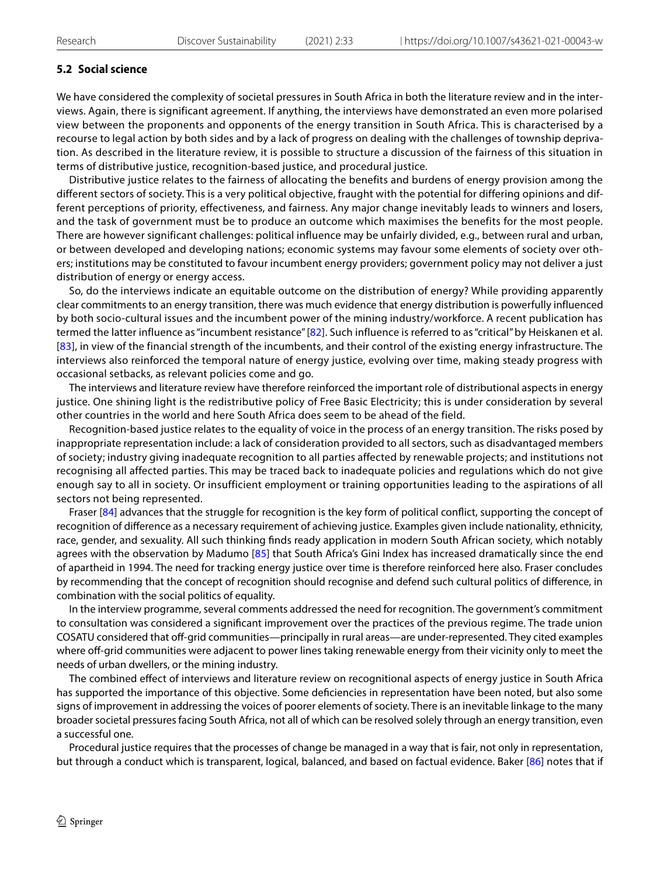# **5.2 Social science**

We have considered the complexity of societal pressures in South Africa in both the literature review and in the interviews. Again, there is significant agreement. If anything, the interviews have demonstrated an even more polarised view between the proponents and opponents of the energy transition in South Africa. This is characterised by a recourse to legal action by both sides and by a lack of progress on dealing with the challenges of township deprivation. As described in the literature review, it is possible to structure a discussion of the fairness of this situation in terms of distributive justice, recognition-based justice, and procedural justice.

Distributive justice relates to the fairness of allocating the benefits and burdens of energy provision among the different sectors of society. This is a very political objective, fraught with the potential for differing opinions and different perceptions of priority, effectiveness, and fairness. Any major change inevitably leads to winners and losers, and the task of government must be to produce an outcome which maximises the benefits for the most people. There are however significant challenges: political influence may be unfairly divided, e.g., between rural and urban, or between developed and developing nations; economic systems may favour some elements of society over others; institutions may be constituted to favour incumbent energy providers; government policy may not deliver a just distribution of energy or energy access.

So, do the interviews indicate an equitable outcome on the distribution of energy? While providing apparently clear commitments to an energy transition, there was much evidence that energy distribution is powerfully influenced by both socio-cultural issues and the incumbent power of the mining industry/workforce. A recent publication has termed the latter influence as "incumbent resistance" [[82\]](#page-14-25). Such influence is referred to as "critical" by Heiskanen et al. [[83\]](#page-14-26), in view of the financial strength of the incumbents, and their control of the existing energy infrastructure. The interviews also reinforced the temporal nature of energy justice, evolving over time, making steady progress with occasional setbacks, as relevant policies come and go.

The interviews and literature review have therefore reinforced the important role of distributional aspects in energy justice. One shining light is the redistributive policy of Free Basic Electricity; this is under consideration by several other countries in the world and here South Africa does seem to be ahead of the field.

Recognition-based justice relates to the equality of voice in the process of an energy transition. The risks posed by inappropriate representation include: a lack of consideration provided to all sectors, such as disadvantaged members of society; industry giving inadequate recognition to all parties affected by renewable projects; and institutions not recognising all affected parties. This may be traced back to inadequate policies and regulations which do not give enough say to all in society. Or insufficient employment or training opportunities leading to the aspirations of all sectors not being represented.

Fraser [[84\]](#page-14-27) advances that the struggle for recognition is the key form of political conflict, supporting the concept of recognition of diference as a necessary requirement of achieving justice. Examples given include nationality, ethnicity, race, gender, and sexuality. All such thinking fnds ready application in modern South African society, which notably agrees with the observation by Madumo [\[85\]](#page-14-28) that South Africa's Gini Index has increased dramatically since the end of apartheid in 1994. The need for tracking energy justice over time is therefore reinforced here also. Fraser concludes by recommending that the concept of recognition should recognise and defend such cultural politics of diference, in combination with the social politics of equality.

In the interview programme, several comments addressed the need for recognition. The government's commitment to consultation was considered a signifcant improvement over the practices of the previous regime. The trade union COSATU considered that of-grid communities—principally in rural areas—are under-represented. They cited examples where off-grid communities were adjacent to power lines taking renewable energy from their vicinity only to meet the needs of urban dwellers, or the mining industry.

The combined efect of interviews and literature review on recognitional aspects of energy justice in South Africa has supported the importance of this objective. Some defciencies in representation have been noted, but also some signs of improvement in addressing the voices of poorer elements of society. There is an inevitable linkage to the many broader societal pressures facing South Africa, not all of which can be resolved solely through an energy transition, even a successful one.

Procedural justice requires that the processes of change be managed in a way that is fair, not only in representation, but through a conduct which is transparent, logical, balanced, and based on factual evidence. Baker [[86](#page-14-29)] notes that if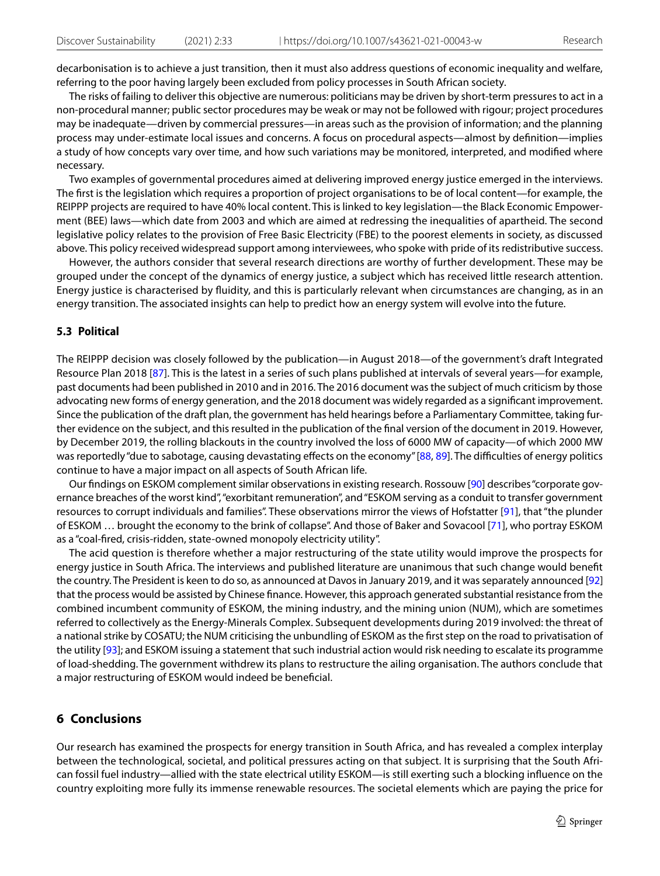decarbonisation is to achieve a just transition, then it must also address questions of economic inequality and welfare, referring to the poor having largely been excluded from policy processes in South African society.

The risks of failing to deliver this objective are numerous: politicians may be driven by short-term pressures to act in a non-procedural manner; public sector procedures may be weak or may not be followed with rigour; project procedures may be inadequate—driven by commercial pressures—in areas such as the provision of information; and the planning process may under-estimate local issues and concerns. A focus on procedural aspects—almost by defnition—implies a study of how concepts vary over time, and how such variations may be monitored, interpreted, and modifed where necessary.

Two examples of governmental procedures aimed at delivering improved energy justice emerged in the interviews. The frst is the legislation which requires a proportion of project organisations to be of local content—for example, the REIPPP projects are required to have 40% local content. This is linked to key legislation—the Black Economic Empowerment (BEE) laws—which date from 2003 and which are aimed at redressing the inequalities of apartheid. The second legislative policy relates to the provision of Free Basic Electricity (FBE) to the poorest elements in society, as discussed above. This policy received widespread support among interviewees, who spoke with pride of its redistributive success.

However, the authors consider that several research directions are worthy of further development. These may be grouped under the concept of the dynamics of energy justice, a subject which has received little research attention. Energy justice is characterised by fuidity, and this is particularly relevant when circumstances are changing, as in an energy transition. The associated insights can help to predict how an energy system will evolve into the future.

#### **5.3 Political**

The REIPPP decision was closely followed by the publication—in August 2018—of the government's draft Integrated Resource Plan 2018 [[87](#page-14-30)]. This is the latest in a series of such plans published at intervals of several years—for example, past documents had been published in 2010 and in 2016. The 2016 document was the subject of much criticism by those advocating new forms of energy generation, and the 2018 document was widely regarded as a signifcant improvement. Since the publication of the draft plan, the government has held hearings before a Parliamentary Committee, taking further evidence on the subject, and this resulted in the publication of the fnal version of the document in 2019. However, by December 2019, the rolling blackouts in the country involved the loss of 6000 MW of capacity—of which 2000 MW was reportedly "due to sabotage, causing devastating effects on the economy" [[88](#page-14-31), [89\]](#page-14-32). The difficulties of energy politics continue to have a major impact on all aspects of South African life.

Our fndings on ESKOM complement similar observations in existing research. Rossouw [[90](#page-14-33)] describes "corporate governance breaches of the worst kind", "exorbitant remuneration", and "ESKOM serving as a conduit to transfer government resources to corrupt individuals and families". These observations mirror the views of Hofstatter [[91](#page-14-34)], that "the plunder of ESKOM … brought the economy to the brink of collapse". And those of Baker and Sovacool [[71\]](#page-14-14), who portray ESKOM as a "coal-fred, crisis-ridden, state-owned monopoly electricity utility".

The acid question is therefore whether a major restructuring of the state utility would improve the prospects for energy justice in South Africa. The interviews and published literature are unanimous that such change would beneft the country. The President is keen to do so, as announced at Davos in January 2019, and it was separately announced [\[92](#page-14-35)] that the process would be assisted by Chinese fnance. However, this approach generated substantial resistance from the combined incumbent community of ESKOM, the mining industry, and the mining union (NUM), which are sometimes referred to collectively as the Energy-Minerals Complex. Subsequent developments during 2019 involved: the threat of a national strike by COSATU; the NUM criticising the unbundling of ESKOM as the frst step on the road to privatisation of the utility [[93](#page-14-36)]; and ESKOM issuing a statement that such industrial action would risk needing to escalate its programme of load-shedding. The government withdrew its plans to restructure the ailing organisation. The authors conclude that a major restructuring of ESKOM would indeed be benefcial.

# <span id="page-10-0"></span>**6 Conclusions**

Our research has examined the prospects for energy transition in South Africa, and has revealed a complex interplay between the technological, societal, and political pressures acting on that subject. It is surprising that the South African fossil fuel industry—allied with the state electrical utility ESKOM—is still exerting such a blocking infuence on the country exploiting more fully its immense renewable resources. The societal elements which are paying the price for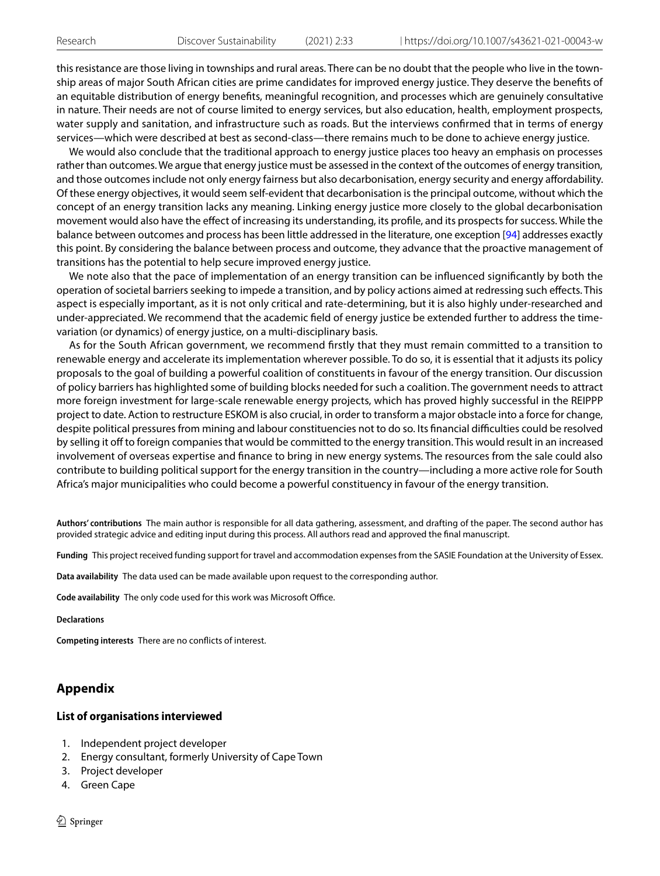this resistance are those living in townships and rural areas. There can be no doubt that the people who live in the township areas of major South African cities are prime candidates for improved energy justice. They deserve the benefts of an equitable distribution of energy benefts, meaningful recognition, and processes which are genuinely consultative in nature. Their needs are not of course limited to energy services, but also education, health, employment prospects, water supply and sanitation, and infrastructure such as roads. But the interviews confrmed that in terms of energy services—which were described at best as second-class—there remains much to be done to achieve energy justice.

We would also conclude that the traditional approach to energy justice places too heavy an emphasis on processes rather than outcomes. We argue that energy justice must be assessed in the context of the outcomes of energy transition, and those outcomes include not only energy fairness but also decarbonisation, energy security and energy afordability. Of these energy objectives, it would seem self-evident that decarbonisation is the principal outcome, without which the concept of an energy transition lacks any meaning. Linking energy justice more closely to the global decarbonisation movement would also have the efect of increasing its understanding, its profle, and its prospects for success. While the balance between outcomes and process has been little addressed in the literature, one exception [[94\]](#page-14-37) addresses exactly this point. By considering the balance between process and outcome, they advance that the proactive management of transitions has the potential to help secure improved energy justice.

We note also that the pace of implementation of an energy transition can be infuenced signifcantly by both the operation of societal barriers seeking to impede a transition, and by policy actions aimed at redressing such efects. This aspect is especially important, as it is not only critical and rate-determining, but it is also highly under-researched and under-appreciated. We recommend that the academic feld of energy justice be extended further to address the timevariation (or dynamics) of energy justice, on a multi-disciplinary basis.

As for the South African government, we recommend frstly that they must remain committed to a transition to renewable energy and accelerate its implementation wherever possible. To do so, it is essential that it adjusts its policy proposals to the goal of building a powerful coalition of constituents in favour of the energy transition. Our discussion of policy barriers has highlighted some of building blocks needed for such a coalition. The government needs to attract more foreign investment for large-scale renewable energy projects, which has proved highly successful in the REIPPP project to date. Action to restructure ESKOM is also crucial, in order to transform a major obstacle into a force for change, despite political pressures from mining and labour constituencies not to do so. Its fnancial difculties could be resolved by selling it off to foreign companies that would be committed to the energy transition. This would result in an increased involvement of overseas expertise and fnance to bring in new energy systems. The resources from the sale could also contribute to building political support for the energy transition in the country—including a more active role for South Africa's major municipalities who could become a powerful constituency in favour of the energy transition.

**Authors' contributions** The main author is responsible for all data gathering, assessment, and drafting of the paper. The second author has provided strategic advice and editing input during this process. All authors read and approved the fnal manuscript.

**Funding** This project received funding support for travel and accommodation expenses from the SASIE Foundation at the University of Essex.

**Data availability** The data used can be made available upon request to the corresponding author.

**Code availability** The only code used for this work was Microsoft Office.

**Declarations**

**Competing interests** There are no conficts of interest.

# <span id="page-11-0"></span>**Appendix**

#### **List of organisations interviewed**

- 1. Independent project developer
- 2. Energy consultant, formerly University of Cape Town
- 3. Project developer
- 4. Green Cape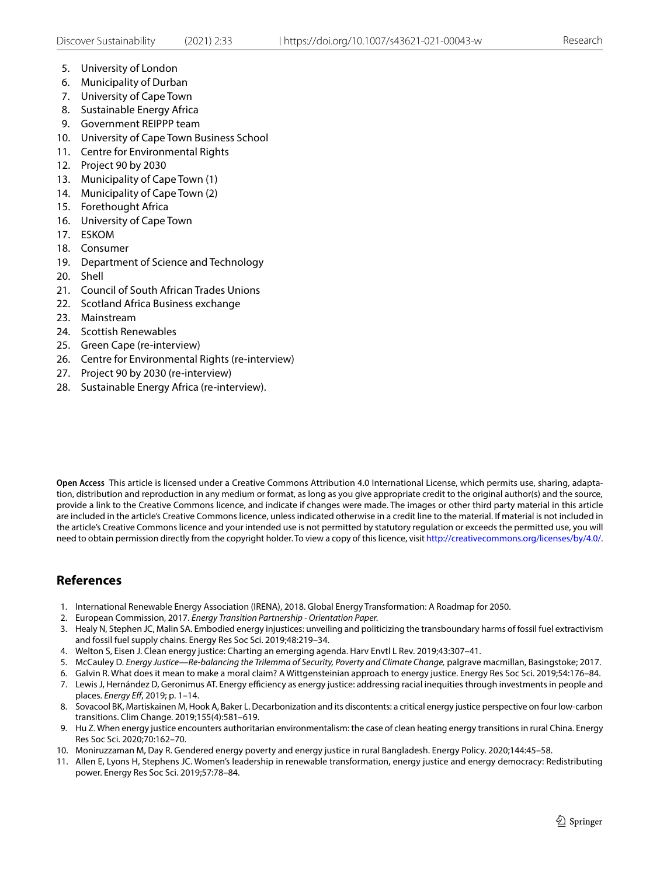- 5. University of London
- 6. Municipality of Durban
- 7. University of Cape Town
- 8. Sustainable Energy Africa
- 9. Government REIPPP team
- 10. University of Cape Town Business School
- 11. Centre for Environmental Rights
- 12. Project 90 by 2030
- 13. Municipality of Cape Town (1)
- 14. Municipality of Cape Town (2)
- 15. Forethought Africa
- 16. University of Cape Town
- 17. ESKOM
- 18. Consumer
- 19. Department of Science and Technology
- 20. Shell
- 21. Council of South African Trades Unions
- 22. Scotland Africa Business exchange
- 23. Mainstream
- 24. Scottish Renewables
- 25. Green Cape (re-interview)
- 26. Centre for Environmental Rights (re-interview)
- 27. Project 90 by 2030 (re-interview)
- 28. Sustainable Energy Africa (re-interview).

**Open Access** This article is licensed under a Creative Commons Attribution 4.0 International License, which permits use, sharing, adaptation, distribution and reproduction in any medium or format, as long as you give appropriate credit to the original author(s) and the source, provide a link to the Creative Commons licence, and indicate if changes were made. The images or other third party material in this article are included in the article's Creative Commons licence, unless indicated otherwise in a credit line to the material. If material is not included in the article's Creative Commons licence and your intended use is not permitted by statutory regulation or exceeds the permitted use, you will need to obtain permission directly from the copyright holder. To view a copy of this licence, visit<http://creativecommons.org/licenses/by/4.0/>.

# **References**

- <span id="page-12-0"></span>1. International Renewable Energy Association (IRENA), 2018. Global Energy Transformation: A Roadmap for 2050.
- 2. European Commission, 2017. *Energy Transition Partnership Orientation Paper.*
- <span id="page-12-1"></span>3. Healy N, Stephen JC, Malin SA. Embodied energy injustices: unveiling and politicizing the transboundary harms of fossil fuel extractivism and fossil fuel supply chains. Energy Res Soc Sci. 2019;48:219–34.
- <span id="page-12-2"></span>4. Welton S, Eisen J. Clean energy justice: Charting an emerging agenda. Harv Envtl L Rev. 2019;43:307–41.
- <span id="page-12-3"></span>5. McCauley D. *Energy Justice—Re-balancing the Trilemma of Security, Poverty and Climate Change,* palgrave macmillan, Basingstoke; 2017.
- 6. Galvin R. What does it mean to make a moral claim? A Wittgensteinian approach to energy justice. Energy Res Soc Sci. 2019;54:176–84.
- <span id="page-12-7"></span>7. Lewis J, Hernández D, Geronimus AT. Energy efficiency as energy justice: addressing racial inequities through investments in people and places. *Energy Ef*, 2019; p. 1–14.
- <span id="page-12-6"></span>8. Sovacool BK, Martiskainen M, Hook A, Baker L. Decarbonization and its discontents: a critical energy justice perspective on four low-carbon transitions. Clim Change. 2019;155(4):581–619.
- <span id="page-12-8"></span>9. Hu Z. When energy justice encounters authoritarian environmentalism: the case of clean heating energy transitions in rural China. Energy Res Soc Sci. 2020;70:162–70.
- <span id="page-12-4"></span>10. Moniruzzaman M, Day R. Gendered energy poverty and energy justice in rural Bangladesh. Energy Policy. 2020;144:45–58.
- <span id="page-12-5"></span>11. Allen E, Lyons H, Stephens JC. Women's leadership in renewable transformation, energy justice and energy democracy: Redistributing power. Energy Res Soc Sci. 2019;57:78–84.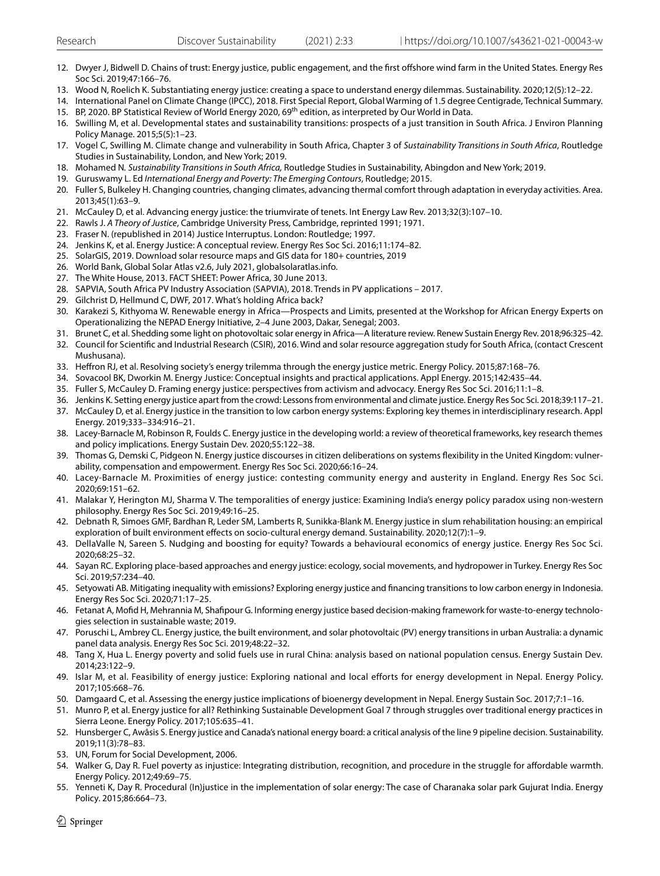- 12. Dwyer J, Bidwell D. Chains of trust: Energy justice, public engagement, and the frst ofshore wind farm in the United States. Energy Res Soc Sci. 2019;47:166–76.
- <span id="page-13-0"></span>13. Wood N, Roelich K. Substantiating energy justice: creating a space to understand energy dilemmas. Sustainability. 2020;12(5):12–22.
- <span id="page-13-2"></span><span id="page-13-1"></span>14. International Panel on Climate Change (IPCC), 2018. First Special Report, Global Warming of 1.5 degree Centigrade, Technical Summary. 15. BP, 2020. BP Statistical Review of World Energy 2020, 69th edition, as interpreted by Our World in Data.
- <span id="page-13-3"></span>16. Swilling M, et al. Developmental states and sustainability transitions: prospects of a just transition in South Africa. J Environ Planning Policy Manage. 2015;5(5):1–23.
- <span id="page-13-4"></span>17. Vogel C, Swilling M. Climate change and vulnerability in South Africa, Chapter 3 of *Sustainability Transitions in South Africa*, Routledge Studies in Sustainability, London, and New York; 2019.
- <span id="page-13-5"></span>18. Mohamed N*. Sustainability Transitions in South Africa,* Routledge Studies in Sustainability, Abingdon and New York; 2019.
- <span id="page-13-6"></span>19. Guruswamy L. Ed *International Energy and Poverty: The Emerging Contours*, Routledge; 2015.
- <span id="page-13-7"></span>20. Fuller S, Bulkeley H. Changing countries, changing climates, advancing thermal comfort through adaptation in everyday activities. Area. 2013;45(1):63–9.
- <span id="page-13-8"></span>21. McCauley D, et al. Advancing energy justice: the triumvirate of tenets. Int Energy Law Rev. 2013;32(3):107–10.
- <span id="page-13-9"></span>22. Rawls J. *A Theory of Justice*, Cambridge University Press, Cambridge, reprinted 1991; 1971.
- <span id="page-13-10"></span>23. Fraser N. (republished in 2014) Justice Interruptus. London: Routledge; 1997.
- <span id="page-13-11"></span>24. Jenkins K, et al. Energy Justice: A conceptual review. Energy Res Soc Sci. 2016;11:174–82.
- <span id="page-13-12"></span>25. SolarGIS, 2019. Download solar resource maps and GIS data for 180+ countries, 2019
- <span id="page-13-13"></span>26. World Bank, Global Solar Atlas v2.6, July 2021, globalsolaratlas.info.
- <span id="page-13-14"></span>27. The White House, 2013. FACT SHEET: Power Africa, 30 June 2013.
- <span id="page-13-15"></span>28. SAPVIA, South Africa PV Industry Association (SAPVIA), 2018. Trends in PV applications – 2017.
- <span id="page-13-16"></span>29. Gilchrist D, Hellmund C, DWF, 2017. What's holding Africa back?
- <span id="page-13-17"></span>30. Karakezi S, Kithyoma W. Renewable energy in Africa—Prospects and Limits, presented at the Workshop for African Energy Experts on Operationalizing the NEPAD Energy Initiative, 2–4 June 2003, Dakar, Senegal; 2003.
- <span id="page-13-18"></span>31. Brunet C, et al. Shedding some light on photovoltaic solar energy in Africa—A literature review. Renew Sustain Energy Rev. 2018;96:325–42.
- <span id="page-13-19"></span>32. Council for Scientifc and Industrial Research (CSIR), 2016. Wind and solar resource aggregation study for South Africa, (contact Crescent Mushusana).
- <span id="page-13-20"></span>33. Hefron RJ, et al. Resolving society's energy trilemma through the energy justice metric. Energy Policy. 2015;87:168–76.
- <span id="page-13-22"></span>34. Sovacool BK, Dworkin M. Energy Justice: Conceptual insights and practical applications. Appl Energy. 2015;142:435–44.
- 35. Fuller S, McCauley D. Framing energy justice: perspectives from activism and advocacy. Energy Res Soc Sci. 2016;11:1–8.
- 36. Jenkins K. Setting energy justice apart from the crowd: Lessons from environmental and climate justice. Energy Res Soc Sci. 2018;39:117–21.
- 37. McCauley D, et al. Energy justice in the transition to low carbon energy systems: Exploring key themes in interdisciplinary research. Appl Energy. 2019;333–334:916–21.
- <span id="page-13-21"></span>38. Lacey-Barnacle M, Robinson R, Foulds C. Energy justice in the developing world: a review of theoretical frameworks, key research themes and policy implications. Energy Sustain Dev. 2020;55:122–38.
- <span id="page-13-23"></span>39. Thomas G, Demski C, Pidgeon N. Energy justice discourses in citizen deliberations on systems fexibility in the United Kingdom: vulnerability, compensation and empowerment. Energy Res Soc Sci. 2020;66:16–24.
- <span id="page-13-24"></span>40. Lacey-Barnacle M. Proximities of energy justice: contesting community energy and austerity in England. Energy Res Soc Sci. 2020;69:151–62.
- <span id="page-13-25"></span>41. Malakar Y, Herington MJ, Sharma V. The temporalities of energy justice: Examining India's energy policy paradox using non-western philosophy. Energy Res Soc Sci. 2019;49:16–25.
- <span id="page-13-26"></span>42. Debnath R, Simoes GMF, Bardhan R, Leder SM, Lamberts R, Sunikka-Blank M. Energy justice in slum rehabilitation housing: an empirical exploration of built environment efects on socio-cultural energy demand. Sustainability. 2020;12(7):1–9.
- 43. DellaValle N, Sareen S. Nudging and boosting for equity? Towards a behavioural economics of energy justice. Energy Res Soc Sci. 2020;68:25–32.
- 44. Sayan RC. Exploring place-based approaches and energy justice: ecology, social movements, and hydropower in Turkey. Energy Res Soc Sci. 2019;57:234–40.
- <span id="page-13-27"></span>45. Setyowati AB. Mitigating inequality with emissions? Exploring energy justice and fnancing transitions to low carbon energy in Indonesia. Energy Res Soc Sci. 2020;71:17–25.
- <span id="page-13-28"></span>46. Fetanat A, Mofd H, Mehrannia M, Shafpour G. Informing energy justice based decision-making framework for waste-to-energy technologies selection in sustainable waste; 2019.
- <span id="page-13-29"></span>47. Poruschi L, Ambrey CL. Energy justice, the built environment, and solar photovoltaic (PV) energy transitions in urban Australia: a dynamic panel data analysis. Energy Res Soc Sci. 2019;48:22–32.
- <span id="page-13-30"></span>48. Tang X, Hua L. Energy poverty and solid fuels use in rural China: analysis based on national population census. Energy Sustain Dev. 2014;23:122–9.
- 49. Islar M, et al. Feasibility of energy justice: Exploring national and local efforts for energy development in Nepal. Energy Policy. 2017;105:668–76.
- 50. Damgaard C, et al. Assessing the energy justice implications of bioenergy development in Nepal. Energy Sustain Soc. 2017;7:1–16.
- <span id="page-13-31"></span>51. Munro P, et al. Energy justice for all? Rethinking Sustainable Development Goal 7 through struggles over traditional energy practices in Sierra Leone. Energy Policy. 2017;105:635–41.
- <span id="page-13-32"></span>52. Hunsberger C, Awâsis S. Energy justice and Canada's national energy board: a critical analysis of the line 9 pipeline decision. Sustainability. 2019;11(3):78–83.
- <span id="page-13-33"></span>53. UN, Forum for Social Development, 2006.
- <span id="page-13-34"></span>54. Walker G, Day R. Fuel poverty as injustice: Integrating distribution, recognition, and procedure in the struggle for afordable warmth. Energy Policy. 2012;49:69–75.
- <span id="page-13-35"></span>55. Yenneti K, Day R. Procedural (In)justice in the implementation of solar energy: The case of Charanaka solar park Gujurat India. Energy Policy. 2015;86:664–73.